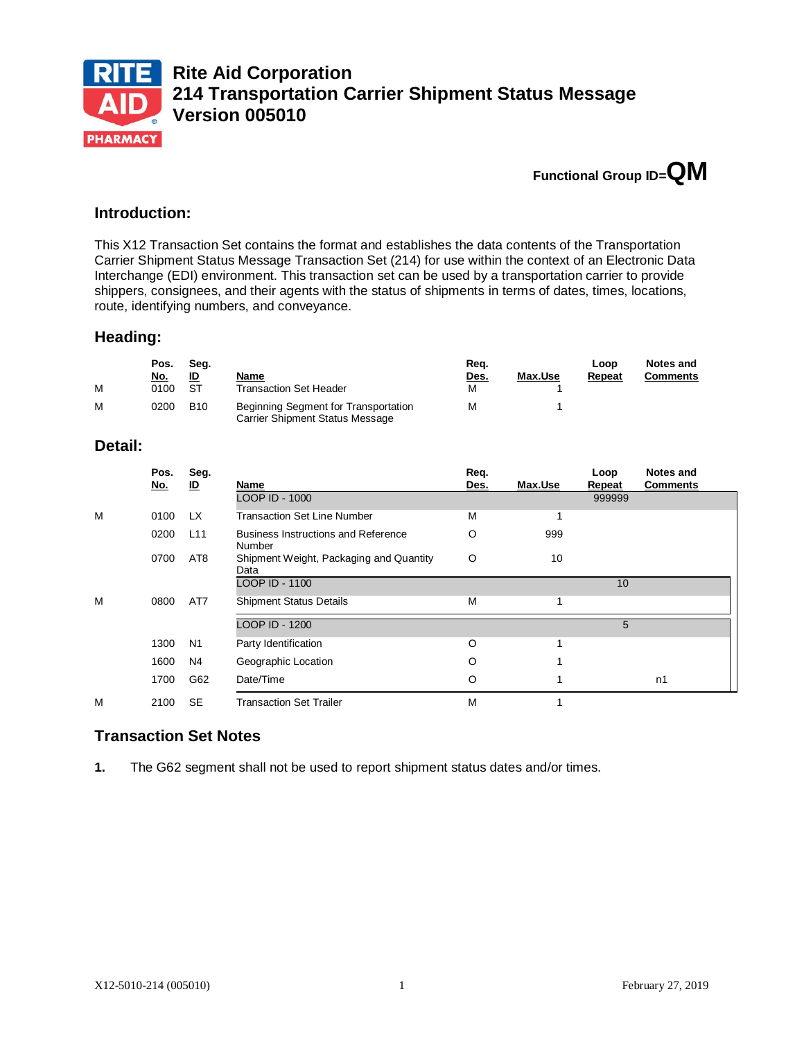

## **Functional Group ID=QM**

## **Introduction:**

This X12 Transaction Set contains the format and establishes the data contents of the Transportation Carrier Shipment Status Message Transaction Set (214) for use within the context of an Electronic Data Interchange (EDI) environment. This transaction set can be used by a transportation carrier to provide shippers, consignees, and their agents with the status of shipments in terms of dates, times, locations, route, identifying numbers, and conveyance.

#### **Heading:**

| м | Pos.<br><u>No.</u><br>0100 | Seg.<br><u>ID</u><br>ST | Name<br><b>Transaction Set Header</b>                                   | Reg.<br><u>Des.</u><br>м | Max.Use | Loop<br>Repeat | <b>Notes and</b><br><b>Comments</b> |
|---|----------------------------|-------------------------|-------------------------------------------------------------------------|--------------------------|---------|----------------|-------------------------------------|
| M | 0200                       | <b>B10</b>              | Beginning Segment for Transportation<br>Carrier Shipment Status Message | м                        |         |                |                                     |

#### **Detail:**

|   | Pos.<br><u>No.</u> | Seg.<br>ID.     | Name                                                 | Req.<br>Des. | Max.Use | Loop<br>Repeat | <b>Notes and</b><br><b>Comments</b> |
|---|--------------------|-----------------|------------------------------------------------------|--------------|---------|----------------|-------------------------------------|
|   |                    |                 | LOOP ID - 1000                                       |              |         | 999999         |                                     |
| M | 0100               | LX.             | <b>Transaction Set Line Number</b>                   | M            |         |                |                                     |
|   | 0200               | L11             | <b>Business Instructions and Reference</b><br>Number | O            | 999     |                |                                     |
|   | 0700               | AT <sub>8</sub> | Shipment Weight, Packaging and Quantity<br>Data      | O            | 10      |                |                                     |
|   |                    |                 | LOOP ID - 1100                                       |              |         | 10             |                                     |
| M | 0800               | AT7             | <b>Shipment Status Details</b>                       | М            |         |                |                                     |
|   |                    |                 | LOOP ID - 1200                                       |              |         | 5              |                                     |
|   | 1300               | N <sub>1</sub>  | Party Identification                                 | O            |         |                |                                     |
|   | 1600               | N4              | Geographic Location                                  | O            |         |                |                                     |
|   | 1700               | G62             | Date/Time                                            | O            |         |                | n1                                  |
| M | 2100               | <b>SE</b>       | <b>Transaction Set Trailer</b>                       | M            |         |                |                                     |

## **Transaction Set Notes**

**1.** The G62 segment shall not be used to report shipment status dates and/or times.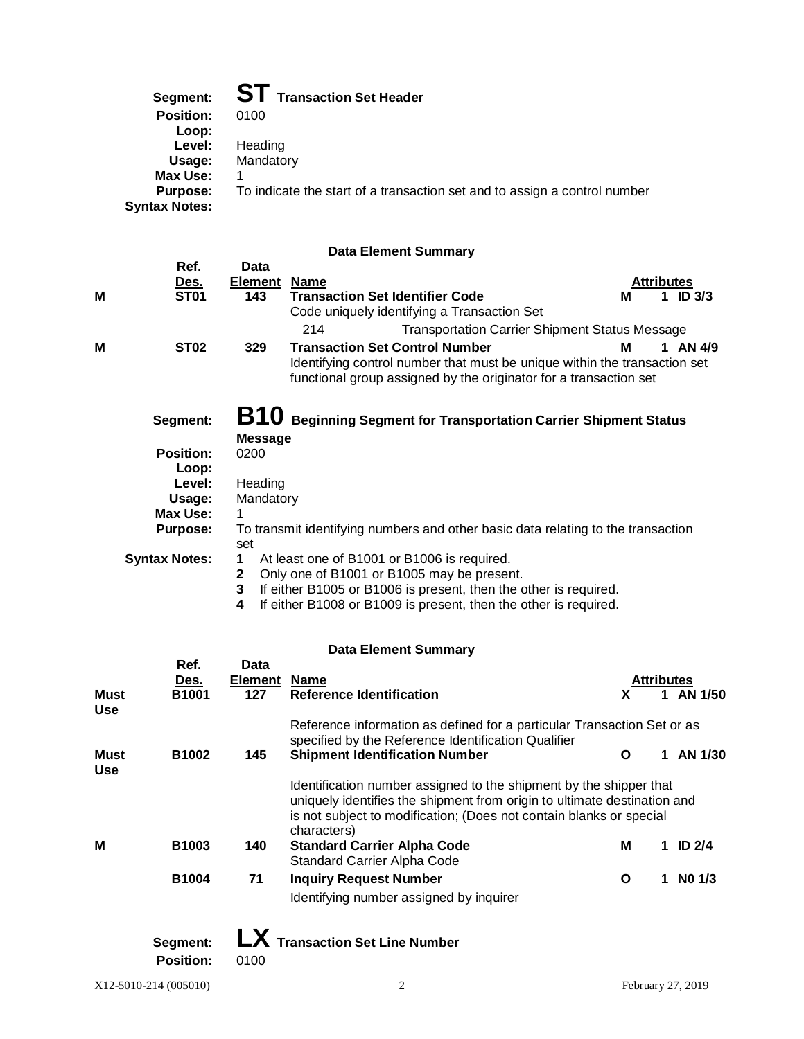# **Segment: ST Transaction Set Header**

| <b>Position:</b><br>Loop:        | 0100                                                                      |
|----------------------------------|---------------------------------------------------------------------------|
| Level:<br>Usage:                 | Heading<br>Mandatory                                                      |
| Max Use:                         |                                                                           |
| Purpose:<br><b>Syntax Notes:</b> | To indicate the start of a transaction set and to assign a control number |

## **Data Element Summary**

|   |                      |                | Dala Element Summary                                                                                                                                                                    |                   |            |
|---|----------------------|----------------|-----------------------------------------------------------------------------------------------------------------------------------------------------------------------------------------|-------------------|------------|
|   | Ref.                 | <b>Data</b>    |                                                                                                                                                                                         |                   |            |
|   | <u>Des.</u>          | <b>Element</b> | <b>Name</b>                                                                                                                                                                             | <b>Attributes</b> |            |
| м | ST <sub>01</sub>     | 143            | <b>Transaction Set Identifier Code</b>                                                                                                                                                  | М                 | 1 ID $3/3$ |
|   |                      |                | Code uniquely identifying a Transaction Set                                                                                                                                             |                   |            |
|   |                      |                | <b>Transportation Carrier Shipment Status Message</b><br>214                                                                                                                            |                   |            |
| М | <b>ST02</b>          | 329            | <b>Transaction Set Control Number</b><br>Identifying control number that must be unique within the transaction set<br>functional group assigned by the originator for a transaction set | м                 | 1 AN 4/9   |
|   | Segment:             | <b>B10</b>     | <b>Beginning Segment for Transportation Carrier Shipment Status</b>                                                                                                                     |                   |            |
|   |                      | <b>Message</b> |                                                                                                                                                                                         |                   |            |
|   | <b>Position:</b>     | 0200           |                                                                                                                                                                                         |                   |            |
|   | Loop:                |                |                                                                                                                                                                                         |                   |            |
|   | Level:               | Heading        |                                                                                                                                                                                         |                   |            |
|   | Usage:               | Mandatory      |                                                                                                                                                                                         |                   |            |
|   | Max Use:             | 1              |                                                                                                                                                                                         |                   |            |
|   | <b>Purpose:</b>      |                | To transmit identifying numbers and other basic data relating to the transaction                                                                                                        |                   |            |
|   |                      | set            |                                                                                                                                                                                         |                   |            |
|   | <b>Syntax Notes:</b> | 1              | At least one of B1001 or B1006 is required.                                                                                                                                             |                   |            |
|   |                      | $\mathbf{2}$   | Only one of B1001 or B1005 may be present.                                                                                                                                              |                   |            |
|   |                      | 3              | If either B1005 or B1006 is present, then the other is required.                                                                                                                        |                   |            |
|   |                      | 4              | If either B1008 or B1009 is present, then the other is required.                                                                                                                        |                   |            |

|                           |                              |                                      | Dala Lichichl Juinnial y                                                                                                                                                                                                             |   |                         |                   |
|---------------------------|------------------------------|--------------------------------------|--------------------------------------------------------------------------------------------------------------------------------------------------------------------------------------------------------------------------------------|---|-------------------------|-------------------|
| <b>Must</b>               | Ref.<br>Des.<br><b>B1001</b> | <b>Data</b><br><b>Element</b><br>127 | <b>Name</b><br><b>Reference Identification</b>                                                                                                                                                                                       | X | <b>Attributes</b><br>1. | AN 1/50           |
| <b>Use</b>                |                              |                                      |                                                                                                                                                                                                                                      |   |                         |                   |
|                           |                              |                                      | Reference information as defined for a particular Transaction Set or as<br>specified by the Reference Identification Qualifier                                                                                                       |   |                         |                   |
| <b>Must</b><br><b>Use</b> | <b>B1002</b>                 | 145                                  | <b>Shipment Identification Number</b>                                                                                                                                                                                                | Ο | 1                       | AN 1/30           |
|                           |                              |                                      | Identification number assigned to the shipment by the shipper that<br>uniquely identifies the shipment from origin to ultimate destination and<br>is not subject to modification; (Does not contain blanks or special<br>characters) |   |                         |                   |
| M                         | B1003                        | 140                                  | <b>Standard Carrier Alpha Code</b><br>Standard Carrier Alpha Code                                                                                                                                                                    | M | 1                       | ID <sub>2/4</sub> |
|                           | <b>B1004</b>                 | 71                                   | <b>Inquiry Request Number</b><br>Identifying number assigned by inquirer                                                                                                                                                             | O | 1.                      | NO 1/3            |
|                           | Segment:<br><b>Position:</b> | 0100                                 | <b>Transaction Set Line Number</b>                                                                                                                                                                                                   |   |                         |                   |

| X12-5010-214 (005010) |  |
|-----------------------|--|
|-----------------------|--|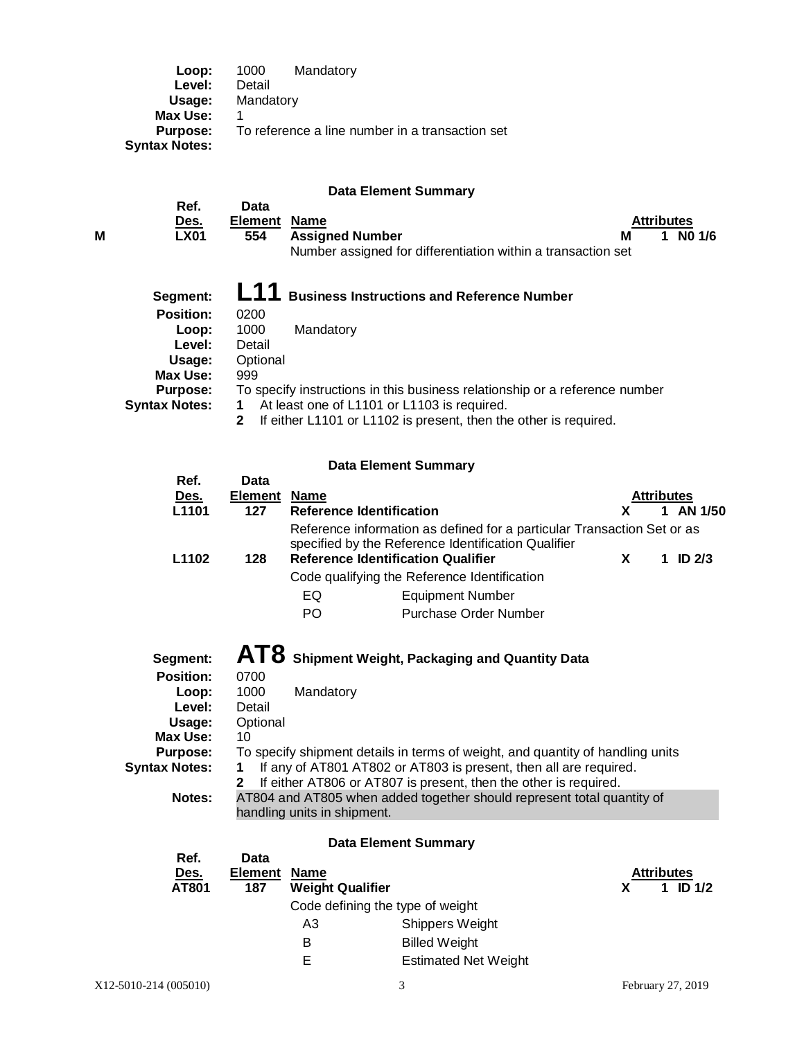| Loop:                | Mandatory<br>1000                               |
|----------------------|-------------------------------------------------|
| Level:               | Detail                                          |
| Usage:               | Mandatory                                       |
| Max Use:             |                                                 |
| <b>Purpose:</b>      | To reference a line number in a transaction set |
| <b>Syntax Notes:</b> |                                                 |

**Ref. Data**

#### **Data Element Summary**

|   | ------<br>Des. | Element Name |                                                              | <b>Attributes</b> |        |
|---|----------------|--------------|--------------------------------------------------------------|-------------------|--------|
| М | <b>LX01</b>    | 554          | <b>Assigned Number</b>                                       |                   | N0 1/6 |
|   |                |              | Number assigned for differentiation within a transaction set |                   |        |

| Segment:             | L11 Business Instructions and Reference Number                              |
|----------------------|-----------------------------------------------------------------------------|
| <b>Position:</b>     | 0200                                                                        |
| Loop:                | Mandatory<br>1000                                                           |
| Level:               | Detail                                                                      |
| Usage:               | Optional                                                                    |
| Max Use:             | 999                                                                         |
| <b>Purpose:</b>      | To specify instructions in this business relationship or a reference number |
| <b>Syntax Notes:</b> | At least one of L1101 or L1103 is required.<br>1.                           |
|                      | If either L1101 or L1102 is present, then the other is required.            |

## **Data Element Summary**

| Ref.              | Data           |                                           |                                                                                                                                |                   |          |
|-------------------|----------------|-------------------------------------------|--------------------------------------------------------------------------------------------------------------------------------|-------------------|----------|
| <u>Des.</u>       | <b>Element</b> | Name                                      |                                                                                                                                | <b>Attributes</b> |          |
| L <sub>1101</sub> | 127            | <b>Reference Identification</b>           |                                                                                                                                |                   | AN 1/50  |
| L <sub>1102</sub> | 128            | <b>Reference Identification Qualifier</b> | Reference information as defined for a particular Transaction Set or as<br>specified by the Reference Identification Qualifier | 1                 | ID $2/3$ |
|                   |                |                                           | Code qualifying the Reference Identification                                                                                   |                   |          |
|                   |                | EQ                                        | <b>Equipment Number</b>                                                                                                        |                   |          |
|                   |                | PO.                                       | Purchase Order Number                                                                                                          |                   |          |
|                   |                |                                           |                                                                                                                                |                   |          |

**Segment: AT8 Shipment Weight, Packaging and Quantity Data**

| <b>Position:</b>     | 0700                                                                           |
|----------------------|--------------------------------------------------------------------------------|
| Loop:                | 1000<br>Mandatory                                                              |
| Level:               | Detail                                                                         |
| Usage:               | Optional                                                                       |
| Max Use:             | 10                                                                             |
| <b>Purpose:</b>      | To specify shipment details in terms of weight, and quantity of handling units |
| <b>Syntax Notes:</b> | If any of AT801 AT802 or AT803 is present, then all are required.              |
|                      | If either AT806 or AT807 is present, then the other is required.               |
| Notes:               | AT804 and AT805 when added together should represent total quantity of         |
|                      | handling units in shipment.                                                    |

| Ref.<br><u>Des.</u><br>AT801 | Data<br><b>Element Name</b><br>187 | <b>Weight Qualifier</b>          |                             | <b>Attributes</b> | ID $1/2$ |
|------------------------------|------------------------------------|----------------------------------|-----------------------------|-------------------|----------|
|                              |                                    | Code defining the type of weight |                             |                   |          |
|                              |                                    | A3                               | Shippers Weight             |                   |          |
|                              |                                    | в                                | <b>Billed Weight</b>        |                   |          |
|                              |                                    | Е                                | <b>Estimated Net Weight</b> |                   |          |
|                              |                                    |                                  |                             |                   |          |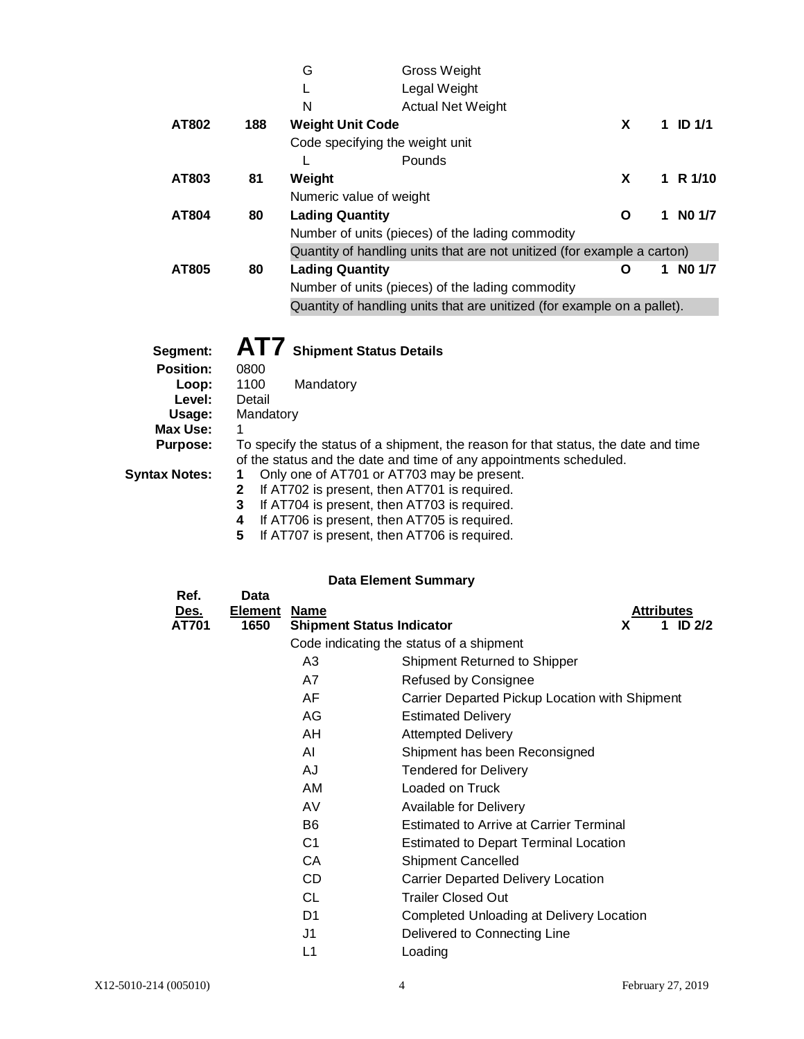|                      |                | G                       | Gross Weight                                                                                 |   |            |
|----------------------|----------------|-------------------------|----------------------------------------------------------------------------------------------|---|------------|
|                      |                | L                       | Legal Weight                                                                                 |   |            |
|                      |                | N                       | <b>Actual Net Weight</b>                                                                     |   |            |
| AT802                | 188            | <b>Weight Unit Code</b> |                                                                                              | X | 1 ID $1/1$ |
|                      |                |                         | Code specifying the weight unit                                                              |   |            |
|                      |                | L                       | Pounds                                                                                       |   |            |
| AT803                | 81             | Weight                  |                                                                                              | X | 1 R $1/10$ |
|                      |                |                         | Numeric value of weight                                                                      |   |            |
| AT804                | 80             | <b>Lading Quantity</b>  |                                                                                              | O | NO 1/7     |
|                      |                |                         | Number of units (pieces) of the lading commodity                                             |   |            |
|                      |                |                         | Quantity of handling units that are not unitized (for example a carton)                      |   |            |
| AT805                | 80             | <b>Lading Quantity</b>  |                                                                                              | O | NO 1/7     |
|                      |                |                         | Number of units (pieces) of the lading commodity                                             |   |            |
|                      |                |                         | Quantity of handling units that are unitized (for example on a pallet).                      |   |            |
|                      |                |                         |                                                                                              |   |            |
| Segment:             | AT7            |                         | <b>Shipment Status Details</b>                                                               |   |            |
| <b>Position:</b>     | 0800           |                         |                                                                                              |   |            |
| Loop:                | 1100           | Mandatory               |                                                                                              |   |            |
| Level:               | Detail         |                         |                                                                                              |   |            |
| Usage:<br>Max Use:   | Mandatory<br>1 |                         |                                                                                              |   |            |
| <b>Purpose:</b>      |                |                         | To specify the status of a shipment, the reason for that status, the date and time           |   |            |
|                      |                |                         | of the status and the date and time of any appointments scheduled.                           |   |            |
| <b>Syntax Notes:</b> | 1              |                         | Only one of AT701 or AT703 may be present.                                                   |   |            |
|                      | $\mathbf 2$    |                         | If AT702 is present, then AT701 is required.                                                 |   |            |
|                      | 3<br>4         |                         | If AT704 is present, then AT703 is required.<br>If AT706 is present, then AT705 is required. |   |            |
|                      | 5              |                         | If AT707 is present, then AT706 is required.                                                 |   |            |
|                      |                |                         |                                                                                              |   |            |

| <b>Data</b> |                |                                           |                                                                              |                                                                                                                                                 |                                                                                   |
|-------------|----------------|-------------------------------------------|------------------------------------------------------------------------------|-------------------------------------------------------------------------------------------------------------------------------------------------|-----------------------------------------------------------------------------------|
|             | <b>Name</b>    |                                           |                                                                              |                                                                                                                                                 |                                                                                   |
|             |                |                                           |                                                                              |                                                                                                                                                 |                                                                                   |
|             |                |                                           |                                                                              |                                                                                                                                                 |                                                                                   |
|             | A3             | <b>Shipment Returned to Shipper</b>       |                                                                              |                                                                                                                                                 |                                                                                   |
|             | A7             | <b>Refused by Consignee</b>               |                                                                              |                                                                                                                                                 |                                                                                   |
|             | AF             |                                           |                                                                              |                                                                                                                                                 |                                                                                   |
|             | AG             | <b>Estimated Delivery</b>                 |                                                                              |                                                                                                                                                 |                                                                                   |
|             | AH             | <b>Attempted Delivery</b>                 |                                                                              |                                                                                                                                                 |                                                                                   |
|             | AI             | Shipment has been Reconsigned             |                                                                              |                                                                                                                                                 |                                                                                   |
|             | AJ             | <b>Tendered for Delivery</b>              |                                                                              |                                                                                                                                                 |                                                                                   |
|             | AM             | Loaded on Truck                           |                                                                              |                                                                                                                                                 |                                                                                   |
|             | AV             | Available for Delivery                    |                                                                              |                                                                                                                                                 |                                                                                   |
|             | <b>B6</b>      |                                           |                                                                              |                                                                                                                                                 |                                                                                   |
|             | C <sub>1</sub> |                                           |                                                                              |                                                                                                                                                 |                                                                                   |
|             | CA             | <b>Shipment Cancelled</b>                 |                                                                              |                                                                                                                                                 |                                                                                   |
|             | CD             | <b>Carrier Departed Delivery Location</b> |                                                                              |                                                                                                                                                 |                                                                                   |
|             | CL             | <b>Trailer Closed Out</b>                 |                                                                              |                                                                                                                                                 |                                                                                   |
|             | D1             |                                           |                                                                              |                                                                                                                                                 |                                                                                   |
|             | J1             | Delivered to Connecting Line              |                                                                              |                                                                                                                                                 |                                                                                   |
|             | L1             | Loading                                   |                                                                              |                                                                                                                                                 |                                                                                   |
|             | 1650           | Element                                   | <b>Shipment Status Indicator</b><br>Code indicating the status of a shipment | X<br><b>Estimated to Arrive at Carrier Terminal</b><br><b>Estimated to Depart Terminal Location</b><br>Completed Unloading at Delivery Location | <b>Attributes</b><br>1 ID $2/2$<br>Carrier Departed Pickup Location with Shipment |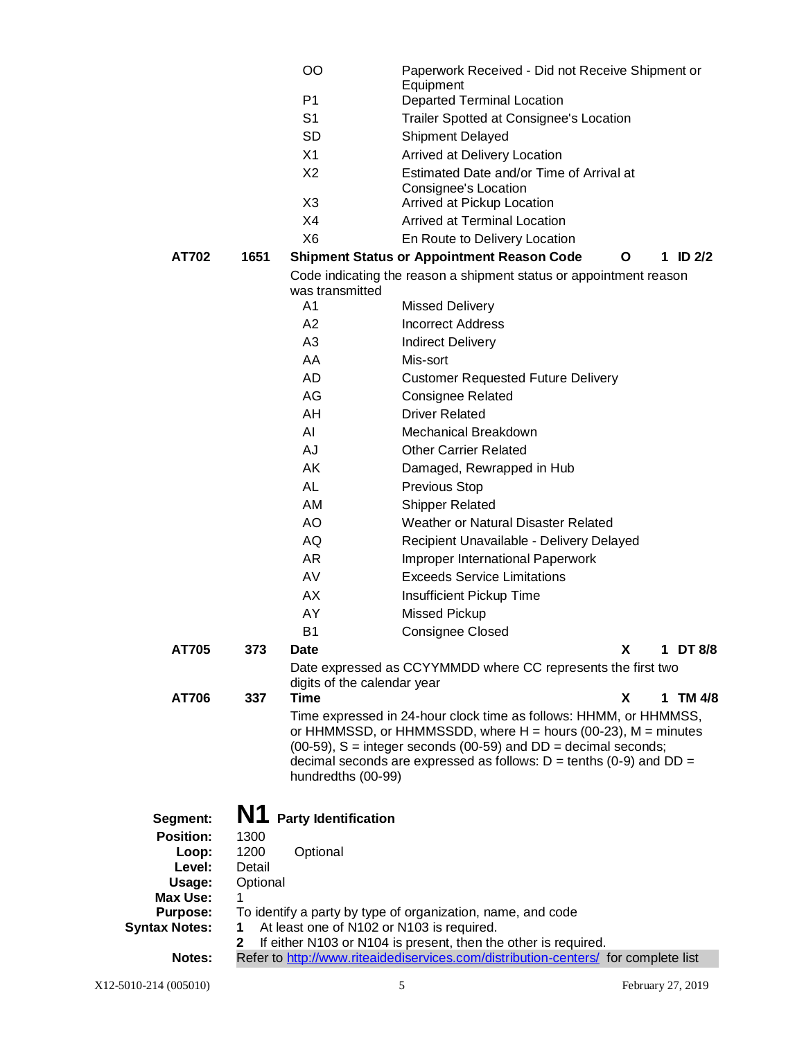|                                    |                | <sub>00</sub>                             | Paperwork Received - Did not Receive Shipment or                                                                                                                                                                                                                                                |                |
|------------------------------------|----------------|-------------------------------------------|-------------------------------------------------------------------------------------------------------------------------------------------------------------------------------------------------------------------------------------------------------------------------------------------------|----------------|
|                                    |                | P <sub>1</sub>                            | Equipment<br><b>Departed Terminal Location</b>                                                                                                                                                                                                                                                  |                |
|                                    |                | S <sub>1</sub>                            | Trailer Spotted at Consignee's Location                                                                                                                                                                                                                                                         |                |
|                                    |                | <b>SD</b>                                 | Shipment Delayed                                                                                                                                                                                                                                                                                |                |
|                                    |                | X1                                        |                                                                                                                                                                                                                                                                                                 |                |
|                                    |                |                                           | Arrived at Delivery Location                                                                                                                                                                                                                                                                    |                |
|                                    |                | X <sub>2</sub>                            | Estimated Date and/or Time of Arrival at<br>Consignee's Location                                                                                                                                                                                                                                |                |
|                                    |                | X <sub>3</sub>                            | Arrived at Pickup Location                                                                                                                                                                                                                                                                      |                |
|                                    |                | X4                                        | <b>Arrived at Terminal Location</b>                                                                                                                                                                                                                                                             |                |
|                                    |                | X <sub>6</sub>                            | En Route to Delivery Location                                                                                                                                                                                                                                                                   |                |
| AT702                              | 1651           |                                           | <b>Shipment Status or Appointment Reason Code</b><br>O                                                                                                                                                                                                                                          | 1 ID 2/2       |
|                                    |                | was transmitted                           | Code indicating the reason a shipment status or appointment reason                                                                                                                                                                                                                              |                |
|                                    |                | A <sub>1</sub>                            | <b>Missed Delivery</b>                                                                                                                                                                                                                                                                          |                |
|                                    |                | A <sub>2</sub>                            | <b>Incorrect Address</b>                                                                                                                                                                                                                                                                        |                |
|                                    |                | A <sub>3</sub>                            | <b>Indirect Delivery</b>                                                                                                                                                                                                                                                                        |                |
|                                    |                | AA                                        | Mis-sort                                                                                                                                                                                                                                                                                        |                |
|                                    |                | <b>AD</b>                                 | <b>Customer Requested Future Delivery</b>                                                                                                                                                                                                                                                       |                |
|                                    |                | AG                                        | <b>Consignee Related</b>                                                                                                                                                                                                                                                                        |                |
|                                    |                | AH                                        | <b>Driver Related</b>                                                                                                                                                                                                                                                                           |                |
|                                    |                | AI                                        | Mechanical Breakdown                                                                                                                                                                                                                                                                            |                |
|                                    |                | AJ                                        | <b>Other Carrier Related</b>                                                                                                                                                                                                                                                                    |                |
|                                    |                | AK                                        | Damaged, Rewrapped in Hub                                                                                                                                                                                                                                                                       |                |
|                                    |                | <b>AL</b>                                 | <b>Previous Stop</b>                                                                                                                                                                                                                                                                            |                |
|                                    |                | AM                                        | <b>Shipper Related</b>                                                                                                                                                                                                                                                                          |                |
|                                    |                | AO.                                       | Weather or Natural Disaster Related                                                                                                                                                                                                                                                             |                |
|                                    |                | AQ                                        | Recipient Unavailable - Delivery Delayed                                                                                                                                                                                                                                                        |                |
|                                    |                | AR                                        | Improper International Paperwork                                                                                                                                                                                                                                                                |                |
|                                    |                | AV                                        | <b>Exceeds Service Limitations</b>                                                                                                                                                                                                                                                              |                |
|                                    |                | AX                                        | <b>Insufficient Pickup Time</b>                                                                                                                                                                                                                                                                 |                |
|                                    |                | AY                                        | <b>Missed Pickup</b>                                                                                                                                                                                                                                                                            |                |
|                                    |                | B <sub>1</sub>                            | <b>Consignee Closed</b>                                                                                                                                                                                                                                                                         |                |
| AT705                              | 373            | Date                                      |                                                                                                                                                                                                                                                                                                 | x.<br>1 DT 8/8 |
|                                    |                |                                           | Date expressed as CCYYMMDD where CC represents the first two                                                                                                                                                                                                                                    |                |
|                                    |                | digits of the calendar year               |                                                                                                                                                                                                                                                                                                 |                |
| AT706                              | 337            | Time                                      | X                                                                                                                                                                                                                                                                                               | 1 TM 4/8       |
|                                    |                | hundredths (00-99)                        | Time expressed in 24-hour clock time as follows: HHMM, or HHMMSS,<br>or HHMMSSD, or HHMMSSDD, where $H =$ hours (00-23), $M =$ minutes<br>$(00-59)$ , S = integer seconds $(00-59)$ and DD = decimal seconds;<br>decimal seconds are expressed as follows: $D = \text{tenths} (0-9)$ and $DD =$ |                |
| Segment:                           | N <sub>1</sub> | <b>Party Identification</b>               |                                                                                                                                                                                                                                                                                                 |                |
| <b>Position:</b>                   | 1300           |                                           |                                                                                                                                                                                                                                                                                                 |                |
| Loop:                              | 1200           | Optional                                  |                                                                                                                                                                                                                                                                                                 |                |
| Level:                             | Detail         |                                           |                                                                                                                                                                                                                                                                                                 |                |
| Usage:                             | Optional       |                                           |                                                                                                                                                                                                                                                                                                 |                |
| <b>Max Use:</b><br><b>Purpose:</b> | 1              |                                           | To identify a party by type of organization, name, and code                                                                                                                                                                                                                                     |                |
| <b>Syntax Notes:</b>               | 1              | At least one of N102 or N103 is required. |                                                                                                                                                                                                                                                                                                 |                |
|                                    | $\mathbf{2}$   |                                           | If either N103 or N104 is present, then the other is required.                                                                                                                                                                                                                                  |                |
| Notes:                             |                |                                           | Refer to http://www.riteaidediservices.com/distribution-centers/ for complete list                                                                                                                                                                                                              |                |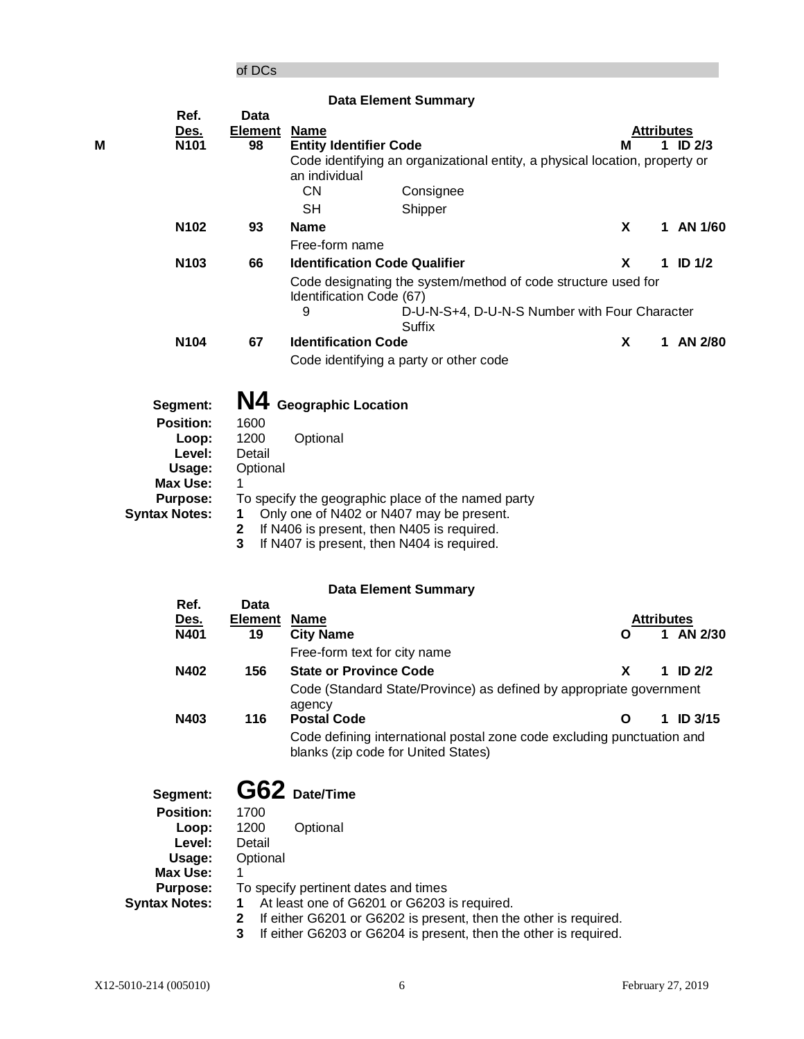## of DCs

|   |                                                                                                                  |                                                        |                                      | <b>Data Element Summary</b>                                                                                                                                                                |                                               |   |                   |             |
|---|------------------------------------------------------------------------------------------------------------------|--------------------------------------------------------|--------------------------------------|--------------------------------------------------------------------------------------------------------------------------------------------------------------------------------------------|-----------------------------------------------|---|-------------------|-------------|
|   | Ref.                                                                                                             | Data                                                   |                                      |                                                                                                                                                                                            |                                               |   |                   |             |
| Μ | <u>Des.</u><br>N <sub>101</sub>                                                                                  | <b>Element Name</b><br>98                              | <b>Entity Identifier Code</b>        |                                                                                                                                                                                            |                                               | м | <b>Attributes</b> | 1 ID $2/3$  |
|   |                                                                                                                  |                                                        | an individual                        | Code identifying an organizational entity, a physical location, property or                                                                                                                |                                               |   |                   |             |
|   |                                                                                                                  |                                                        | <b>CN</b>                            | Consignee                                                                                                                                                                                  |                                               |   |                   |             |
|   |                                                                                                                  |                                                        | <b>SH</b>                            | Shipper                                                                                                                                                                                    |                                               |   |                   |             |
|   | N102                                                                                                             | 93                                                     | <b>Name</b>                          |                                                                                                                                                                                            |                                               | X |                   | 1 AN 1/60   |
|   |                                                                                                                  |                                                        | Free-form name                       |                                                                                                                                                                                            |                                               |   |                   |             |
|   | N103                                                                                                             | 66                                                     |                                      | <b>Identification Code Qualifier</b>                                                                                                                                                       |                                               | X |                   | 1 ID $1/2$  |
|   |                                                                                                                  |                                                        | Identification Code (67)<br>9        | Code designating the system/method of code structure used for                                                                                                                              | D-U-N-S+4, D-U-N-S Number with Four Character |   |                   |             |
|   |                                                                                                                  |                                                        |                                      | Suffix                                                                                                                                                                                     |                                               |   |                   |             |
|   | N <sub>104</sub>                                                                                                 | 67                                                     | <b>Identification Code</b>           |                                                                                                                                                                                            |                                               | X |                   | 1 AN 2/80   |
|   |                                                                                                                  |                                                        |                                      | Code identifying a party or other code                                                                                                                                                     |                                               |   |                   |             |
|   | Segment:<br><b>Position:</b><br>Loop:<br>Level:<br>Usage:<br>Max Use:<br><b>Purpose:</b><br><b>Syntax Notes:</b> | 1600<br>1200<br>Detail<br>Optional<br>1<br>1<br>2<br>3 | N4 Geographic Location<br>Optional   | To specify the geographic place of the named party<br>Only one of N402 or N407 may be present.<br>If N406 is present, then N405 is required.<br>If N407 is present, then N404 is required. |                                               |   |                   |             |
|   | Ref.                                                                                                             | <b>Data</b>                                            |                                      | <b>Data Element Summary</b>                                                                                                                                                                |                                               |   |                   |             |
|   | <u>Des.</u>                                                                                                      | <u>Element</u>                                         | <b>Name</b>                          |                                                                                                                                                                                            |                                               |   | <b>Attributes</b> |             |
|   | N401                                                                                                             | 19                                                     | <b>City Name</b>                     |                                                                                                                                                                                            |                                               | O |                   | 1 AN 2/30   |
|   |                                                                                                                  |                                                        | Free-form text for city name         |                                                                                                                                                                                            |                                               |   |                   |             |
|   | N402                                                                                                             | 156                                                    | <b>State or Province Code</b>        |                                                                                                                                                                                            |                                               | X |                   | 1 ID $2/2$  |
|   |                                                                                                                  |                                                        |                                      | Code (Standard State/Province) as defined by appropriate government                                                                                                                        |                                               |   |                   |             |
|   | N403                                                                                                             | 116                                                    | agency<br><b>Postal Code</b>         |                                                                                                                                                                                            |                                               | O |                   | 1 ID $3/15$ |
|   |                                                                                                                  |                                                        |                                      | Code defining international postal zone code excluding punctuation and                                                                                                                     |                                               |   |                   |             |
|   |                                                                                                                  |                                                        |                                      | blanks (zip code for United States)                                                                                                                                                        |                                               |   |                   |             |
|   | Segment:                                                                                                         |                                                        | G62 Date/Time                        |                                                                                                                                                                                            |                                               |   |                   |             |
|   | <b>Position:</b>                                                                                                 | 1700                                                   |                                      |                                                                                                                                                                                            |                                               |   |                   |             |
|   | Loop:                                                                                                            | 1200                                                   | Optional                             |                                                                                                                                                                                            |                                               |   |                   |             |
|   | Level:                                                                                                           | Detail                                                 |                                      |                                                                                                                                                                                            |                                               |   |                   |             |
|   | Usage:<br><b>Max Use:</b>                                                                                        | Optional<br>1                                          |                                      |                                                                                                                                                                                            |                                               |   |                   |             |
|   | <b>Purpose:</b>                                                                                                  |                                                        | To specify pertinent dates and times |                                                                                                                                                                                            |                                               |   |                   |             |
|   | <b>Syntax Notes:</b>                                                                                             | 1<br>2                                                 |                                      | At least one of G6201 or G6203 is required.<br>If either G6201 or G6202 is present, then the other is required.                                                                            |                                               |   |                   |             |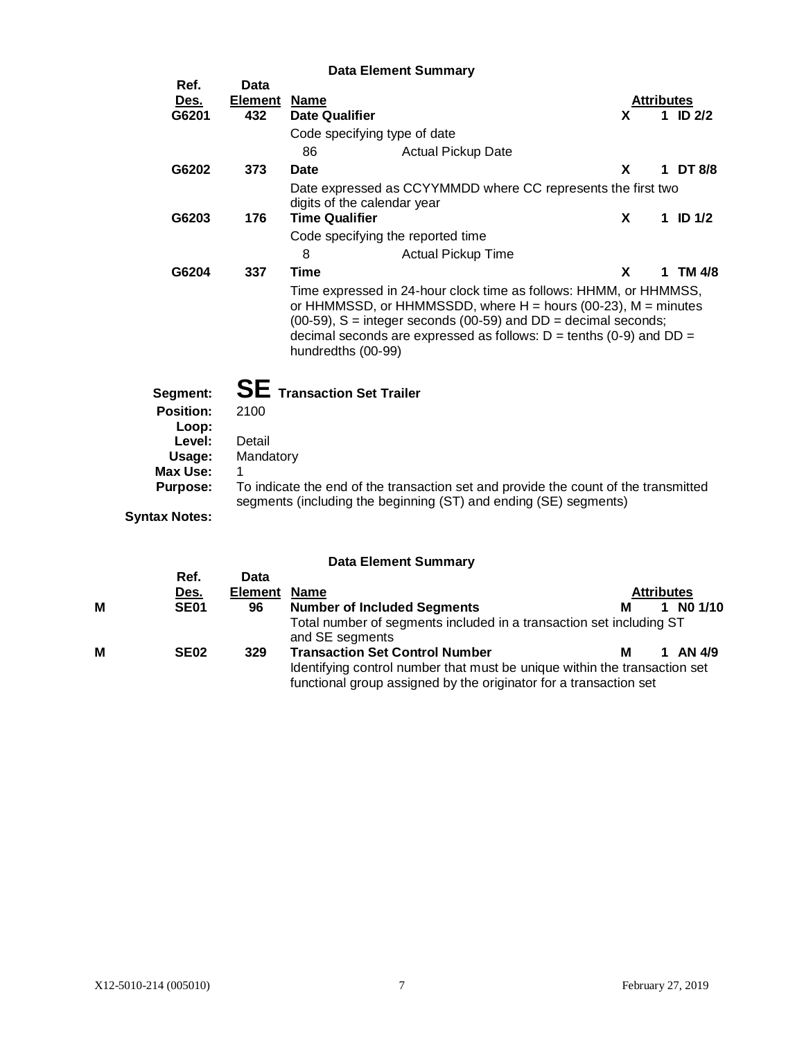| <b>Data Element Summary</b> |                |                                                                                                                                                                                                                                                                                                                       |                                                                                             |            |    |                   |  |
|-----------------------------|----------------|-----------------------------------------------------------------------------------------------------------------------------------------------------------------------------------------------------------------------------------------------------------------------------------------------------------------------|---------------------------------------------------------------------------------------------|------------|----|-------------------|--|
| Ref.                        | Data           |                                                                                                                                                                                                                                                                                                                       |                                                                                             |            |    |                   |  |
| Des.                        | <b>Element</b> | <b>Name</b>                                                                                                                                                                                                                                                                                                           |                                                                                             | Attributes |    |                   |  |
| G6201                       | 432            | <b>Date Qualifier</b>                                                                                                                                                                                                                                                                                                 |                                                                                             | X          |    | ID <sub>2/2</sub> |  |
|                             |                |                                                                                                                                                                                                                                                                                                                       | Code specifying type of date                                                                |            |    |                   |  |
|                             |                | 86                                                                                                                                                                                                                                                                                                                    | <b>Actual Pickup Date</b>                                                                   |            |    |                   |  |
| G6202                       | 373            | <b>Date</b>                                                                                                                                                                                                                                                                                                           |                                                                                             | X          |    | 1 DT 8/8          |  |
|                             |                |                                                                                                                                                                                                                                                                                                                       | Date expressed as CCYYMMDD where CC represents the first two<br>digits of the calendar year |            |    |                   |  |
| G6203                       | 176            | <b>Time Qualifier</b>                                                                                                                                                                                                                                                                                                 |                                                                                             | X          |    | $1$ ID $1/2$      |  |
|                             |                |                                                                                                                                                                                                                                                                                                                       | Code specifying the reported time                                                           |            |    |                   |  |
|                             |                | 8                                                                                                                                                                                                                                                                                                                     | <b>Actual Pickup Time</b>                                                                   |            |    |                   |  |
| G6204                       | 337            | Time                                                                                                                                                                                                                                                                                                                  |                                                                                             | X          | 1. | <b>TM 4/8</b>     |  |
|                             |                | Time expressed in 24-hour clock time as follows: HHMM, or HHMMSS,<br>or HHMMSSD, or HHMMSSDD, where $H =$ hours (00-23), $M =$ minutes<br>$(00-59)$ , S = integer seconds $(00-59)$ and DD = decimal seconds;<br>decimal seconds are expressed as follows: $D = \text{tenths} (0-9)$ and $DD =$<br>hundredths (00-99) |                                                                                             |            |    |                   |  |
| Segment:                    |                |                                                                                                                                                                                                                                                                                                                       | <b>SE</b> Transaction Set Trailer                                                           |            |    |                   |  |
| Position:                   | 2100           |                                                                                                                                                                                                                                                                                                                       |                                                                                             |            |    |                   |  |
| Loop:                       |                |                                                                                                                                                                                                                                                                                                                       |                                                                                             |            |    |                   |  |
| Level:                      | Detail         |                                                                                                                                                                                                                                                                                                                       |                                                                                             |            |    |                   |  |
| Usage:                      | Mandatory      |                                                                                                                                                                                                                                                                                                                       |                                                                                             |            |    |                   |  |
| Max Use:                    |                |                                                                                                                                                                                                                                                                                                                       |                                                                                             |            |    |                   |  |
| <b>Purpose:</b>             |                | To indicate the end of the transaction set and provide the count of the transmitted<br>segments (including the beginning (ST) and ending (SE) segments)                                                                                                                                                               |                                                                                             |            |    |                   |  |
| <b>Syntax Notes:</b>        |                |                                                                                                                                                                                                                                                                                                                       |                                                                                             |            |    |                   |  |

|   |                  |                | Dala Element Summary                                                                                                                                                                    |   |                   |
|---|------------------|----------------|-----------------------------------------------------------------------------------------------------------------------------------------------------------------------------------------|---|-------------------|
|   | Ref.             | Data           |                                                                                                                                                                                         |   |                   |
|   | Des.             | <b>Element</b> | <b>Name</b>                                                                                                                                                                             |   | <b>Attributes</b> |
| M | <b>SE01</b>      | 96             | <b>Number of Included Segments</b>                                                                                                                                                      | м | NO 1/10           |
|   |                  |                | Total number of segments included in a transaction set including ST<br>and SE segments                                                                                                  |   |                   |
| M | SE <sub>02</sub> | 329            | <b>Transaction Set Control Number</b><br>Identifying control number that must be unique within the transaction set<br>functional group assigned by the originator for a transaction set | м | AN 4/9            |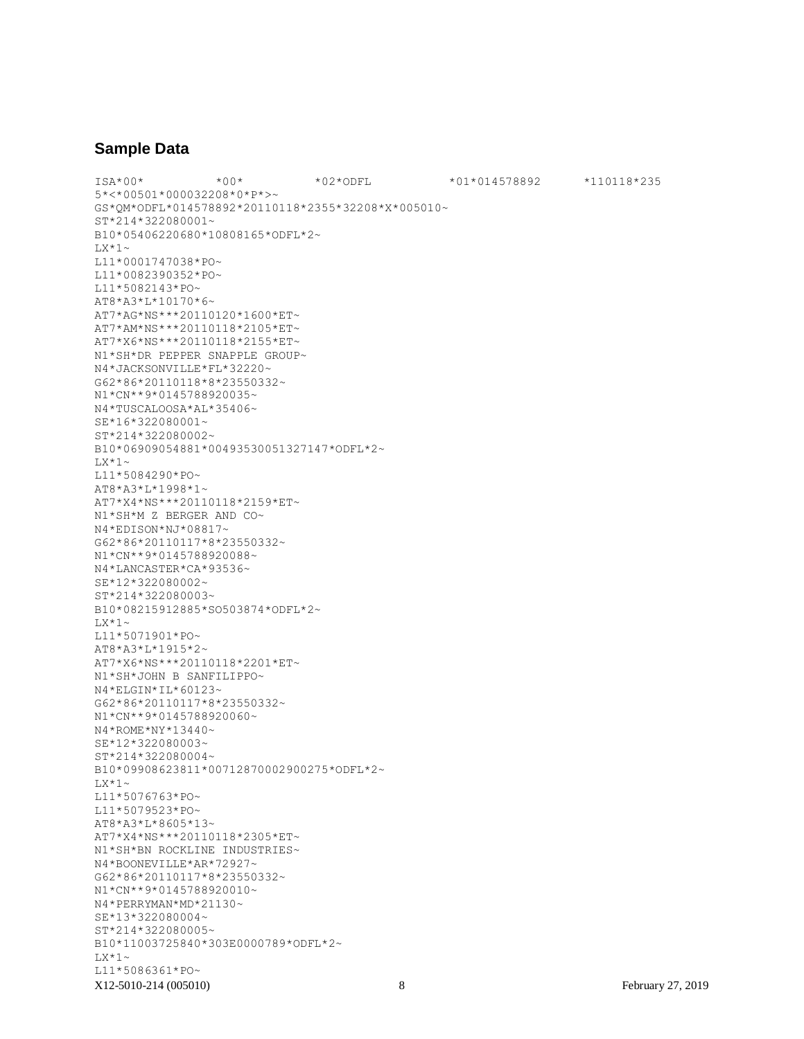#### **Sample Data**

ISA\*00\* \*00\* \*02\*ODFL \*01\*014578892 \*110118\*235 5\*<\*00501\*000032208\*0\*P\*>~ GS\*QM\*ODFL\*014578892\*20110118\*2355\*32208\*X\*005010~ ST\*214\*322080001~ B10\*05406220680\*10808165\*ODFL\*2~  $LX*1~$ L11\*0001747038\*PO~ L11\*0082390352\*PO~ L11\*5082143\*PO~ AT8\*A3\*L\*10170\*6~ AT7\*AG\*NS\*\*\*20110120\*1600\*ET~ AT7\*AM\*NS\*\*\*20110118\*2105\*ET~ AT7\*X6\*NS\*\*\*20110118\*2155\*ET~ N1\*SH\*DR PEPPER SNAPPLE GROUP~ N4\*JACKSONVILLE\*FL\*32220~ G62\*86\*20110118\*8\*23550332~ N1\*CN\*\*9\*0145788920035~ N4\*TUSCALOOSA\*AL\*35406~ SE\*16\*322080001~ ST\*214\*322080002~ B10\*06909054881\*00493530051327147\*ODFL\*2~  $TX*1~$ ~ L11\*5084290\*PO~ AT8\*A3\*L\*1998\*1~ AT7\*X4\*NS\*\*\*20110118\*2159\*ET~ N1\*SH\*M Z BERGER AND CO~ N4\*EDISON\*NJ\*08817~ G62\*86\*20110117\*8\*23550332~ N1\*CN\*\*9\*0145788920088~ N4\*LANCASTER\*CA\*93536~ SE\*12\*322080002~ ST\*214\*322080003~ B10\*08215912885\*SO503874\*ODFL\*2~  $LX*1~$ L11\*5071901\*PO~ AT8\*A3\*L\*1915\*2~ AT7\*X6\*NS\*\*\*20110118\*2201\*ET~ N1\*SH\*JOHN B SANFILIPPO~ N4\*ELGIN\*IL\*60123~ G62\*86\*20110117\*8\*23550332~ N1\*CN\*\*9\*0145788920060~ N4\*ROME\*NY\*13440~ SE\*12\*322080003~ ST\*214\*322080004~ B10\*09908623811\*00712870002900275\*ODFL\*2~  $LX*1~$ ~ L11\*5076763\*PO~ L11\*5079523\*PO~ AT8\*A3\*L\*8605\*13~ AT7\*X4\*NS\*\*\*20110118\*2305\*ET~ N1\*SH\*BN ROCKLINE INDUSTRIES~ N4\*BOONEVILLE\*AR\*72927~ G62\*86\*20110117\*8\*23550332~ N1\*CN\*\*9\*0145788920010~ N4\*PERRYMAN\*MD\*21130~ SE\*13\*322080004~ ST\*214\*322080005~ B10\*11003725840\*303E0000789\*ODFL\*2~  $LX*1~$ ~ L11\*5086361\*PO~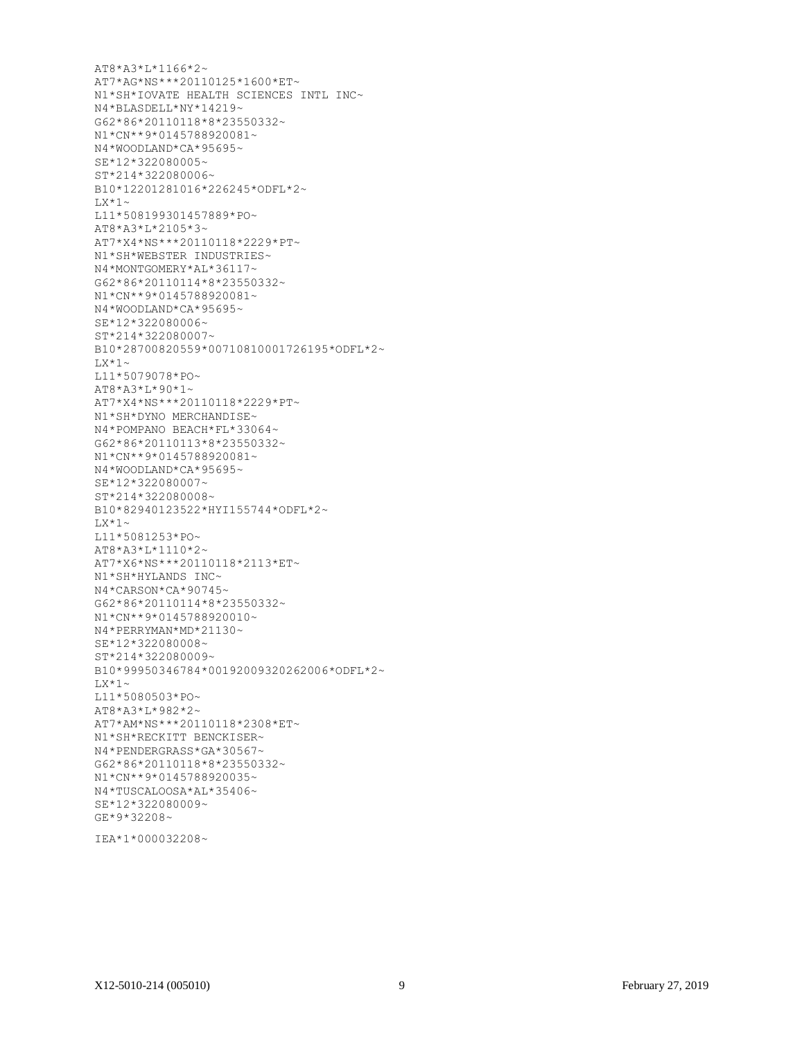```
AT8*A3*L*1166*2~ 
AT7*AG*NS***20110125*1600*ET~ 
N1*SH*IOVATE HEALTH SCIENCES INTL INC~ 
N4*BLASDELL*NY*14219~ 
G62*86*20110118*8*23550332~ 
N1*CN**9*0145788920081~ 
N4*WOODLAND*CA*95695~ 
SE*12*322080005~ 
ST*214*322080006~ 
B10*12201281016*226245*ODFL*2~ 
TX*1~~
L11*508199301457889*PO~ 
AT8*A3*L*2105*3~ 
AT7*X4*NS***20110118*2229*PT~ 
N1*SH*WEBSTER INDUSTRIES~ 
N4*MONTGOMERY*AL*36117~ 
G62*86*20110114*8*23550332~ 
N1*CN**9*0145788920081~ 
N4*WOODLAND*CA*95695~ 
SE*12*322080006~ 
ST*214*322080007~ 
B10*28700820559*00710810001726195*ODFL*2~ 
LX*1~~
L11*5079078*PO~ 
AT8*A3*L*90*1~ 
AT7*X4*NS***20110118*2229*PT~ 
N1*SH*DYNO MERCHANDISE~ 
N4*POMPANO BEACH*FL*33064~ 
G62*86*20110113*8*23550332~ 
N1*CN**9*0145788920081~ 
N4*WOODLAND*CA*95695~ 
SE*12*322080007~ 
ST*214*322080008~ 
B10*82940123522*HYI155744*ODFL*2~ 
LX*1~~
L11*5081253*PO~ 
AT8*A3*L*1110*2~ 
AT7*X6*NS***20110118*2113*ET~ 
N1*SH*HYLANDS INC~ 
N4*CARSON*CA*90745~ 
G62*86*20110114*8*23550332~ 
N1*CN**9*0145788920010~ 
N4*PERRYMAN*MD*21130~ 
SE*12*322080008~ 
ST*214*322080009~ 
B10*99950346784*00192009320262006*ODFL*2~ 
TX*1~~
L11*5080503*PO~ 
AT8*A3*L*982*2~ 
AT7*AM*NS***20110118*2308*ET~ 
N1*SH*RECKITT BENCKISER~ 
N4*PENDERGRASS*GA*30567~ 
G62*86*20110118*8*23550332~ 
N1*CN**9*0145788920035~ 
N4*TUSCALOOSA*AL*35406~ 
SE*12*322080009~ 
GE*9*32208~
```

```
IEA*1*000032208~
```